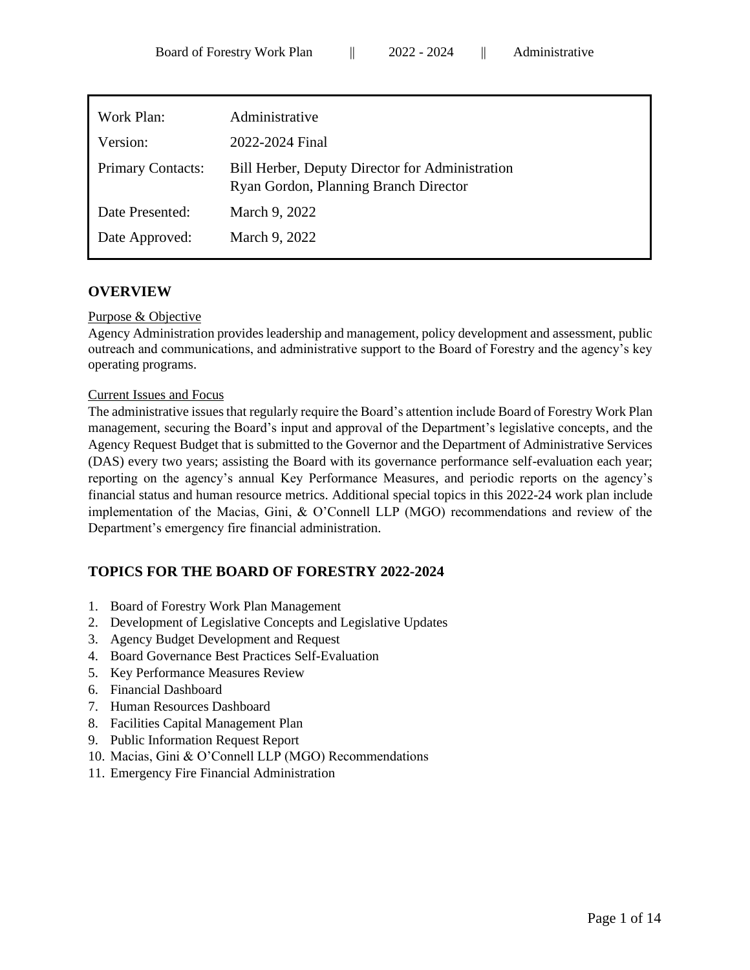| Work Plan:               | Administrative                                                                           |
|--------------------------|------------------------------------------------------------------------------------------|
| Version:                 | 2022-2024 Final                                                                          |
| <b>Primary Contacts:</b> | Bill Herber, Deputy Director for Administration<br>Ryan Gordon, Planning Branch Director |
| Date Presented:          | March 9, 2022                                                                            |
| Date Approved:           | March 9, 2022                                                                            |
|                          |                                                                                          |

## **OVERVIEW**

#### Purpose & Objective

Agency Administration provides leadership and management, policy development and assessment, public outreach and communications, and administrative support to the Board of Forestry and the agency's key operating programs.

#### Current Issues and Focus

The administrative issues that regularly require the Board's attention include Board of Forestry Work Plan management, securing the Board's input and approval of the Department's legislative concepts, and the Agency Request Budget that is submitted to the Governor and the Department of Administrative Services (DAS) every two years; assisting the Board with its governance performance self-evaluation each year; reporting on the agency's annual Key Performance Measures, and periodic reports on the agency's financial status and human resource metrics. Additional special topics in this 2022-24 work plan include implementation of the Macias, Gini, & O'Connell LLP (MGO) recommendations and review of the Department's emergency fire financial administration.

# **TOPICS FOR THE BOARD OF FORESTRY 2022-2024**

- 1. Board of Forestry Work Plan Management
- 2. Development of Legislative Concepts and Legislative Updates
- 3. Agency Budget Development and Request
- 4. Board Governance Best Practices Self-Evaluation
- 5. Key Performance Measures Review
- 6. Financial Dashboard
- 7. Human Resources Dashboard
- 8. Facilities Capital Management Plan
- 9. Public Information Request Report
- 10. Macias, Gini & O'Connell LLP (MGO) Recommendations
- 11. Emergency Fire Financial Administration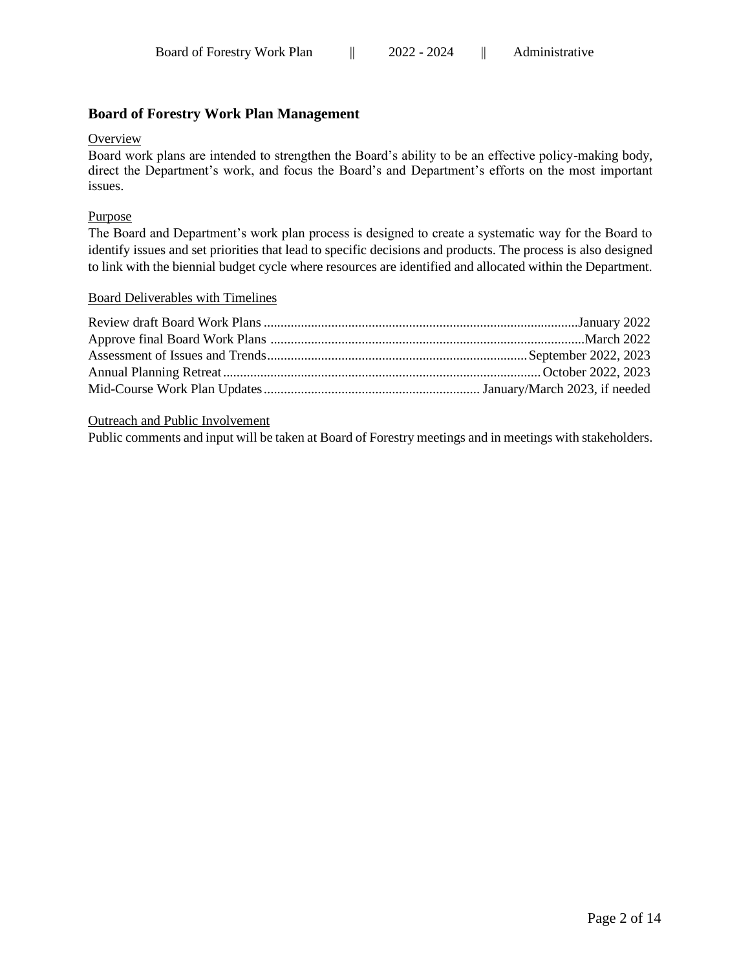# **Board of Forestry Work Plan Management**

## **Overview**

Board work plans are intended to strengthen the Board's ability to be an effective policy-making body, direct the Department's work, and focus the Board's and Department's efforts on the most important issues.

## Purpose

The Board and Department's work plan process is designed to create a systematic way for the Board to identify issues and set priorities that lead to specific decisions and products. The process is also designed to link with the biennial budget cycle where resources are identified and allocated within the Department.

## Board Deliverables with Timelines

# Outreach and Public Involvement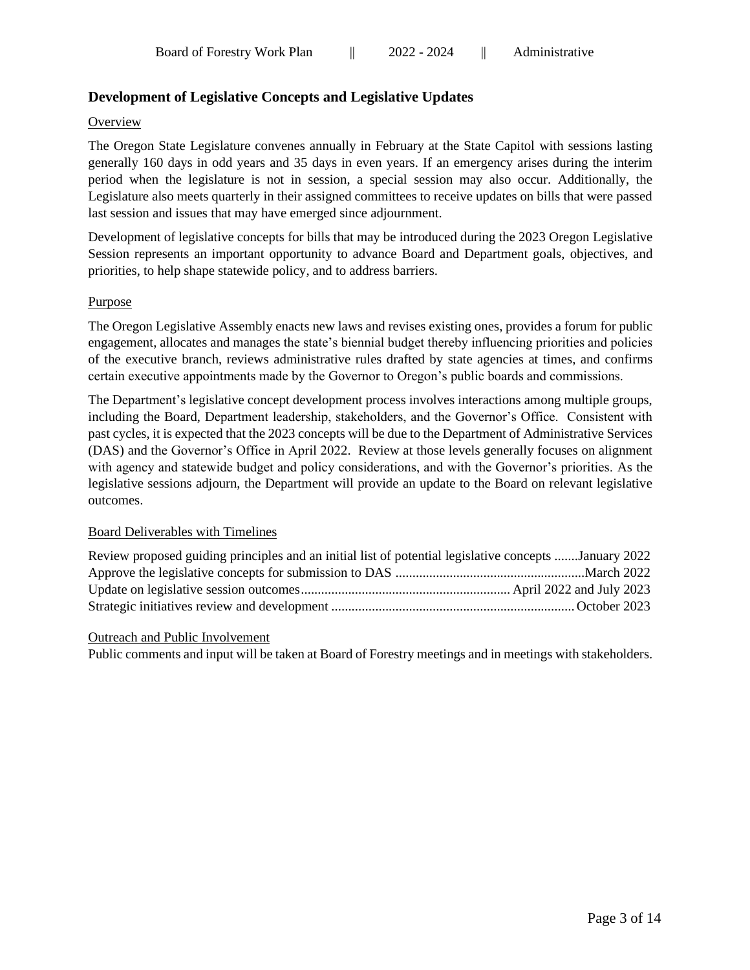# **Development of Legislative Concepts and Legislative Updates**

#### **Overview**

The Oregon State Legislature convenes annually in February at the State Capitol with sessions lasting generally 160 days in odd years and 35 days in even years. If an emergency arises during the interim period when the legislature is not in session, a special session may also occur. Additionally, the Legislature also meets quarterly in their assigned committees to receive updates on bills that were passed last session and issues that may have emerged since adjournment.

Development of legislative concepts for bills that may be introduced during the 2023 Oregon Legislative Session represents an important opportunity to advance Board and Department goals, objectives, and priorities, to help shape statewide policy, and to address barriers.

## Purpose

The Oregon Legislative Assembly enacts new laws and revises existing ones, provides a forum for public engagement, allocates and manages the state's biennial budget thereby influencing priorities and policies of the executive branch, reviews administrative rules drafted by state agencies at times, and confirms certain executive appointments made by the Governor to Oregon's public boards and commissions.

The Department's legislative concept development process involves interactions among multiple groups, including the Board, Department leadership, stakeholders, and the Governor's Office. Consistent with past cycles, it is expected that the 2023 concepts will be due to the Department of Administrative Services (DAS) and the Governor's Office in April 2022. Review at those levels generally focuses on alignment with agency and statewide budget and policy considerations, and with the Governor's priorities. As the legislative sessions adjourn, the Department will provide an update to the Board on relevant legislative outcomes.

## Board Deliverables with Timelines

| Review proposed guiding principles and an initial list of potential legislative concepts January 2022 |  |
|-------------------------------------------------------------------------------------------------------|--|
|                                                                                                       |  |
|                                                                                                       |  |
|                                                                                                       |  |

#### Outreach and Public Involvement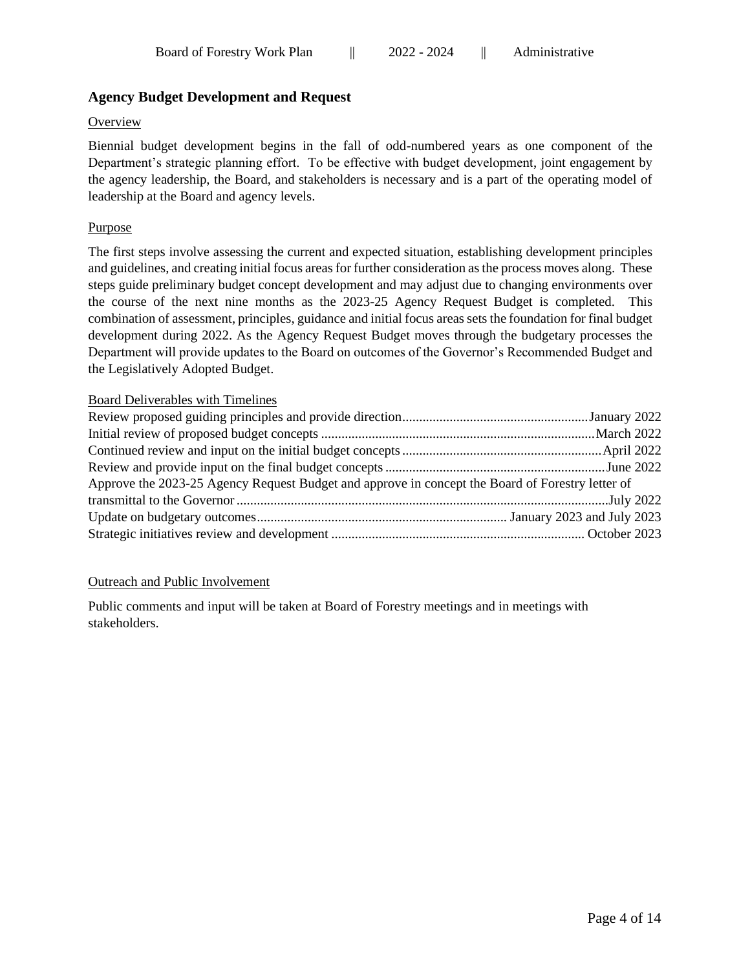# **Agency Budget Development and Request**

#### **Overview**

Biennial budget development begins in the fall of odd-numbered years as one component of the Department's strategic planning effort. To be effective with budget development, joint engagement by the agency leadership, the Board, and stakeholders is necessary and is a part of the operating model of leadership at the Board and agency levels.

### Purpose

The first steps involve assessing the current and expected situation, establishing development principles and guidelines, and creating initial focus areas for further consideration as the process moves along. These steps guide preliminary budget concept development and may adjust due to changing environments over the course of the next nine months as the 2023-25 Agency Request Budget is completed. This combination of assessment, principles, guidance and initial focus areas sets the foundation for final budget development during 2022. As the Agency Request Budget moves through the budgetary processes the Department will provide updates to the Board on outcomes of the Governor's Recommended Budget and the Legislatively Adopted Budget.

#### Board Deliverables with Timelines

| Approve the 2023-25 Agency Request Budget and approve in concept the Board of Forestry letter of |  |
|--------------------------------------------------------------------------------------------------|--|
|                                                                                                  |  |
|                                                                                                  |  |
|                                                                                                  |  |

#### Outreach and Public Involvement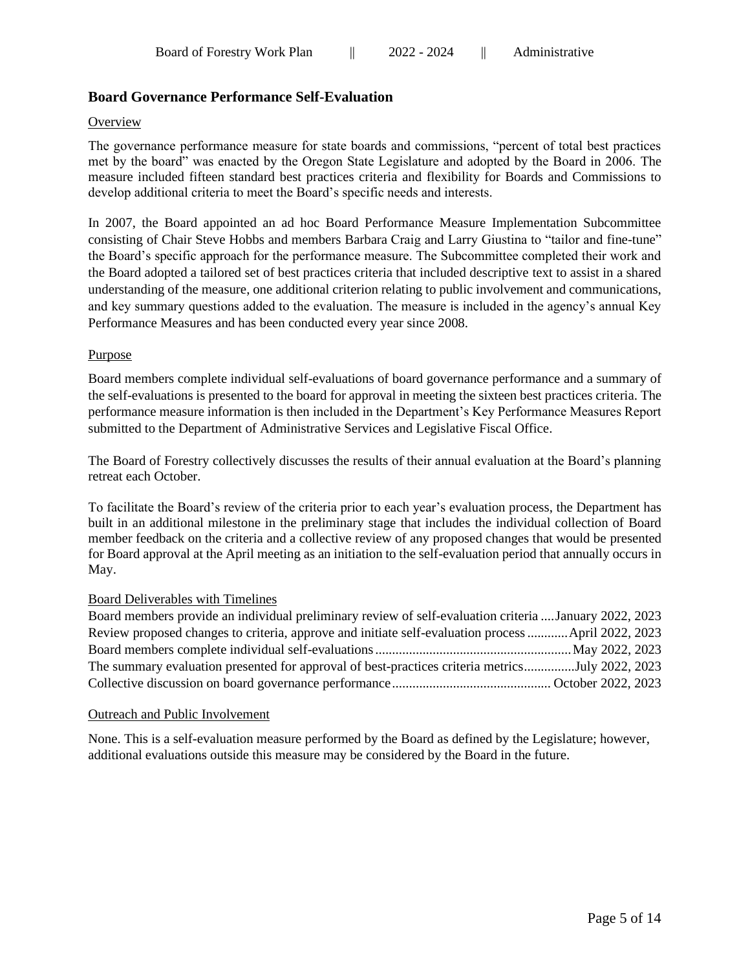# **Board Governance Performance Self-Evaluation**

#### **Overview**

The governance performance measure for state boards and commissions, "percent of total best practices met by the board" was enacted by the Oregon State Legislature and adopted by the Board in 2006. The measure included fifteen standard best practices criteria and flexibility for Boards and Commissions to develop additional criteria to meet the Board's specific needs and interests.

In 2007, the Board appointed an ad hoc Board Performance Measure Implementation Subcommittee consisting of Chair Steve Hobbs and members Barbara Craig and Larry Giustina to "tailor and fine-tune" the Board's specific approach for the performance measure. The Subcommittee completed their work and the Board adopted a tailored set of best practices criteria that included descriptive text to assist in a shared understanding of the measure, one additional criterion relating to public involvement and communications, and key summary questions added to the evaluation. The measure is included in the agency's annual Key Performance Measures and has been conducted every year since 2008.

#### Purpose

Board members complete individual self-evaluations of board governance performance and a summary of the self-evaluations is presented to the board for approval in meeting the sixteen best practices criteria. The performance measure information is then included in the Department's Key Performance Measures Report submitted to the Department of Administrative Services and Legislative Fiscal Office.

The Board of Forestry collectively discusses the results of their annual evaluation at the Board's planning retreat each October.

To facilitate the Board's review of the criteria prior to each year's evaluation process, the Department has built in an additional milestone in the preliminary stage that includes the individual collection of Board member feedback on the criteria and a collective review of any proposed changes that would be presented for Board approval at the April meeting as an initiation to the self-evaluation period that annually occurs in May.

## Board Deliverables with Timelines

| Board members provide an individual preliminary review of self-evaluation criteria  January 2022, 2023 |  |
|--------------------------------------------------------------------------------------------------------|--|
| Review proposed changes to criteria, approve and initiate self-evaluation process  April 2022, 2023    |  |
|                                                                                                        |  |
| The summary evaluation presented for approval of best-practices criteria metricsJuly 2022, 2023        |  |
|                                                                                                        |  |

#### Outreach and Public Involvement

None. This is a self-evaluation measure performed by the Board as defined by the Legislature; however, additional evaluations outside this measure may be considered by the Board in the future.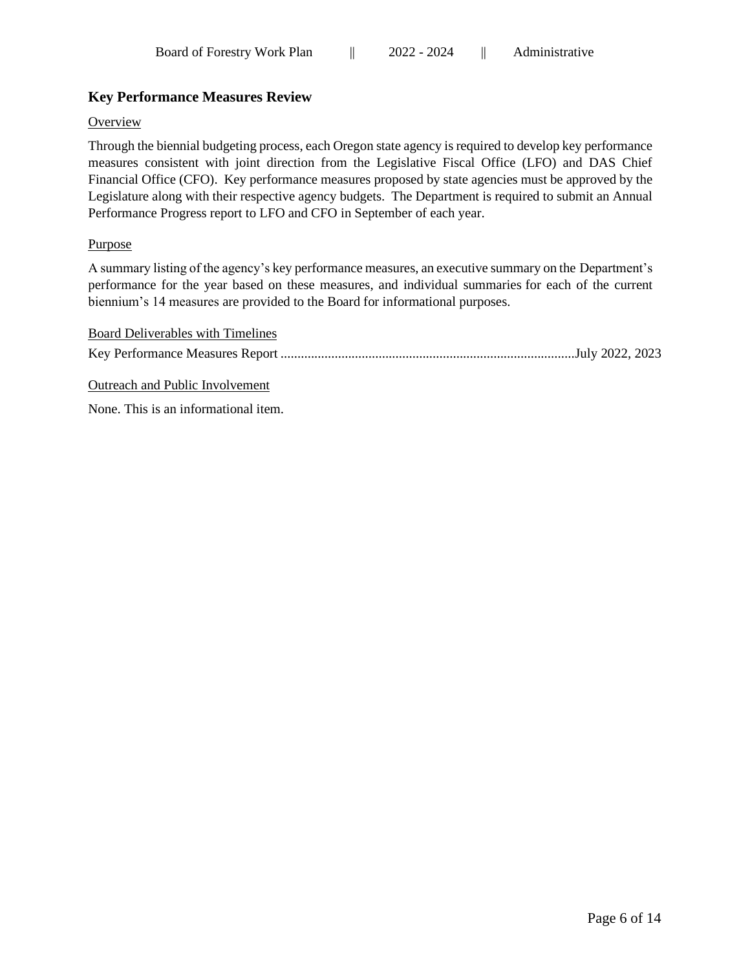# **Key Performance Measures Review**

### **Overview**

Through the biennial budgeting process, each Oregon state agency is required to develop key performance measures consistent with joint direction from the Legislative Fiscal Office (LFO) and DAS Chief Financial Office (CFO). Key performance measures proposed by state agencies must be approved by the Legislature along with their respective agency budgets. The Department is required to submit an Annual Performance Progress report to LFO and CFO in September of each year.

## Purpose

A summary listing of the agency's key performance measures, an executive summary on the Department's performance for the year based on these measures, and individual summaries for each of the current biennium's 14 measures are provided to the Board for informational purposes.

| Board Deliverables with Timelines |  |
|-----------------------------------|--|
|                                   |  |
| Outreach and Public Involvement   |  |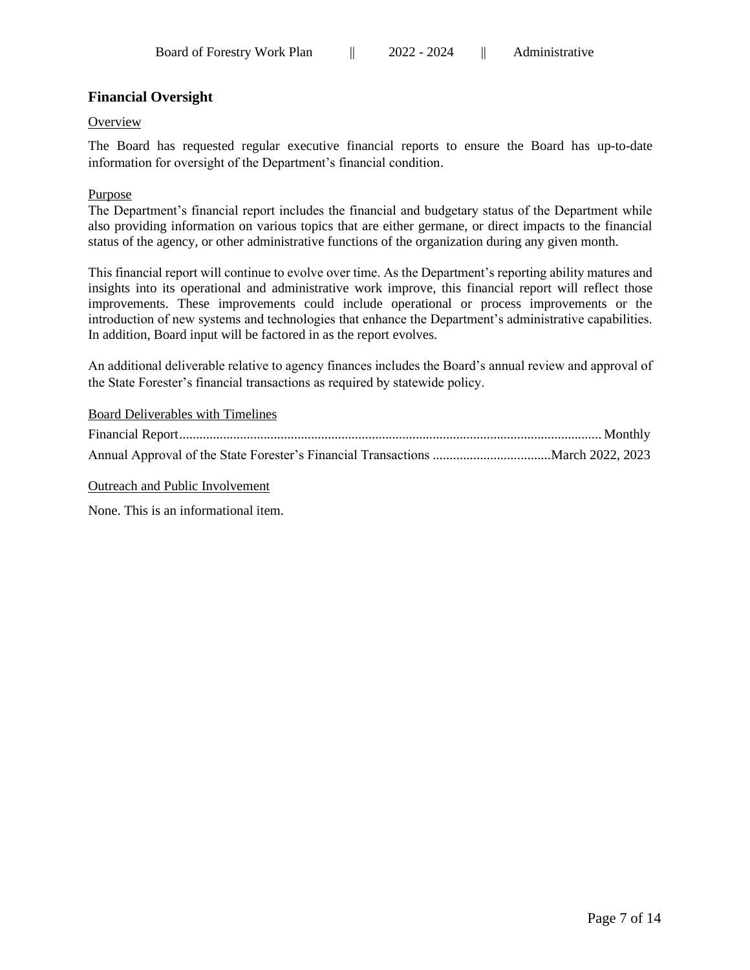# **Financial Oversight**

#### **Overview**

The Board has requested regular executive financial reports to ensure the Board has up-to-date information for oversight of the Department's financial condition.

#### Purpose

The Department's financial report includes the financial and budgetary status of the Department while also providing information on various topics that are either germane, or direct impacts to the financial status of the agency, or other administrative functions of the organization during any given month.

This financial report will continue to evolve over time. As the Department's reporting ability matures and insights into its operational and administrative work improve, this financial report will reflect those improvements. These improvements could include operational or process improvements or the introduction of new systems and technologies that enhance the Department's administrative capabilities. In addition, Board input will be factored in as the report evolves.

An additional deliverable relative to agency finances includes the Board's annual review and approval of the State Forester's financial transactions as required by statewide policy.

#### Board Deliverables with Timelines

Outreach and Public Involvement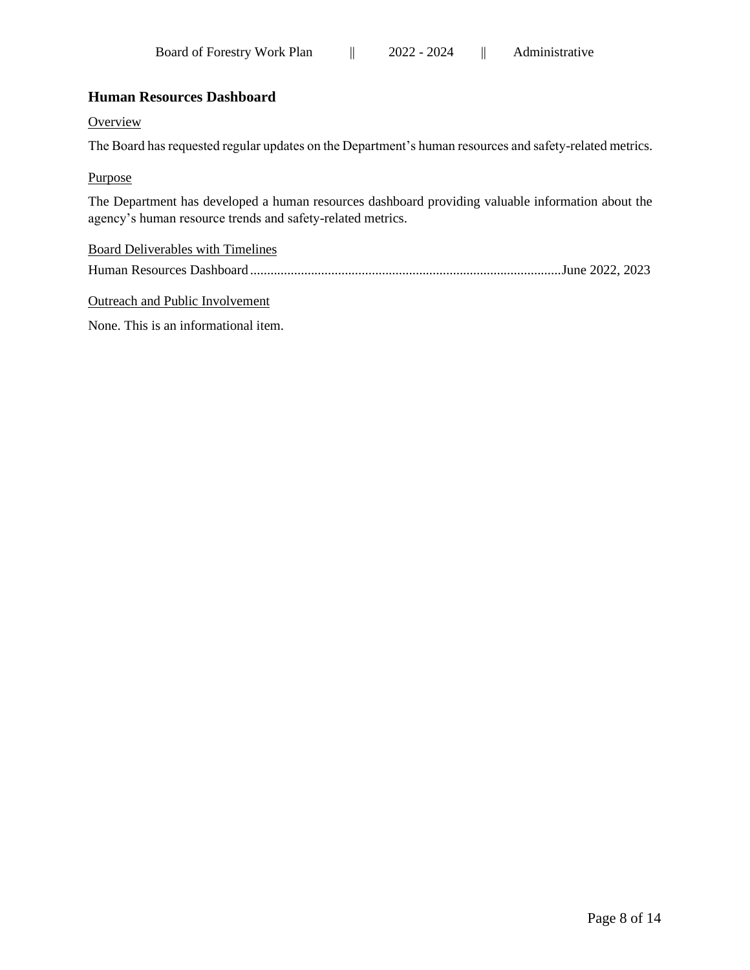# **Human Resources Dashboard**

#### **Overview**

The Board has requested regular updates on the Department's human resources and safety-related metrics.

#### Purpose

The Department has developed a human resources dashboard providing valuable information about the agency's human resource trends and safety-related metrics.

| <b>Board Deliverables with Timelines</b> |  |
|------------------------------------------|--|
|                                          |  |

Outreach and Public Involvement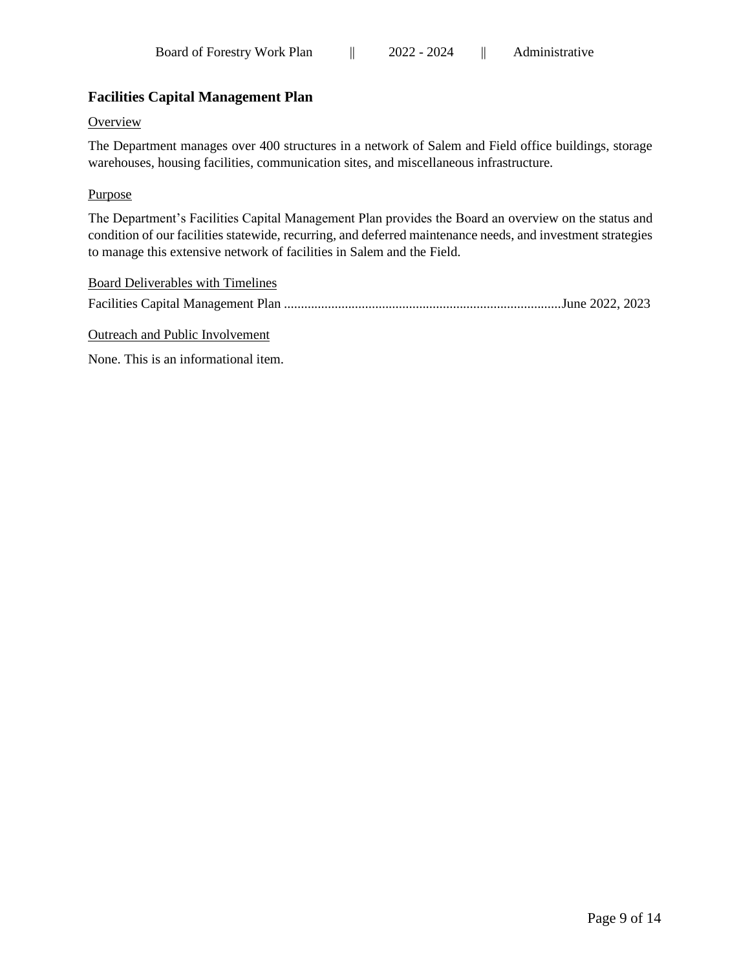# **Facilities Capital Management Plan**

#### **Overview**

The Department manages over 400 structures in a network of Salem and Field office buildings, storage warehouses, housing facilities, communication sites, and miscellaneous infrastructure.

#### Purpose

The Department's Facilities Capital Management Plan provides the Board an overview on the status and condition of our facilities statewide, recurring, and deferred maintenance needs, and investment strategies to manage this extensive network of facilities in Salem and the Field.

| Board Deliverables with Timelines |  |
|-----------------------------------|--|
|                                   |  |

Outreach and Public Involvement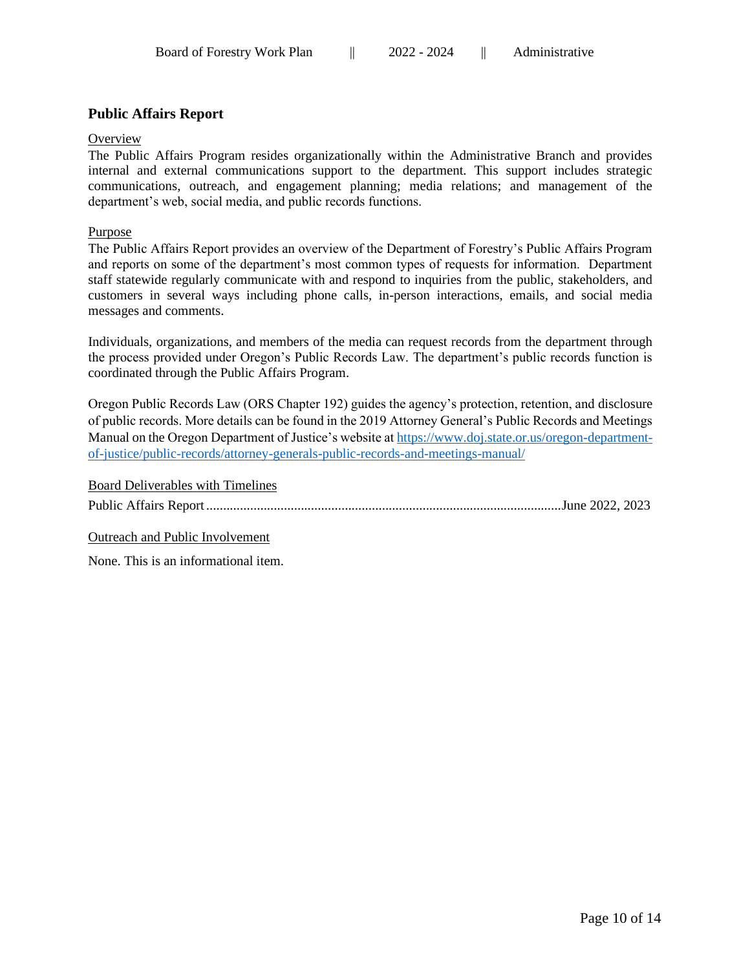# **Public Affairs Report**

#### **Overview**

The Public Affairs Program resides organizationally within the Administrative Branch and provides internal and external communications support to the department. This support includes strategic communications, outreach, and engagement planning; media relations; and management of the department's web, social media, and public records functions.

### Purpose

The Public Affairs Report provides an overview of the Department of Forestry's Public Affairs Program and reports on some of the department's most common types of requests for information. Department staff statewide regularly communicate with and respond to inquiries from the public, stakeholders, and customers in several ways including phone calls, in-person interactions, emails, and social media messages and comments.

Individuals, organizations, and members of the media can request records from the department through the process provided under Oregon's Public Records Law. The department's public records function is coordinated through the Public Affairs Program.

Oregon Public Records Law (ORS Chapter 192) guides the agency's protection, retention, and disclosure of public records. More details can be found in the 2019 Attorney General's Public Records and Meetings Manual on the Oregon Department of Justice's website at [https://www.doj.state.or.us/oregon-department](https://www.doj.state.or.us/oregon-department-of-justice/public-records/attorney-generals-public-records-and-meetings-manual/)[of-justice/public-records/attorney-generals-public-records-and-meetings-manual/](https://www.doj.state.or.us/oregon-department-of-justice/public-records/attorney-generals-public-records-and-meetings-manual/)

Board Deliverables with Timelines Public Affairs Report .........................................................................................................June 2022, 2023

Outreach and Public Involvement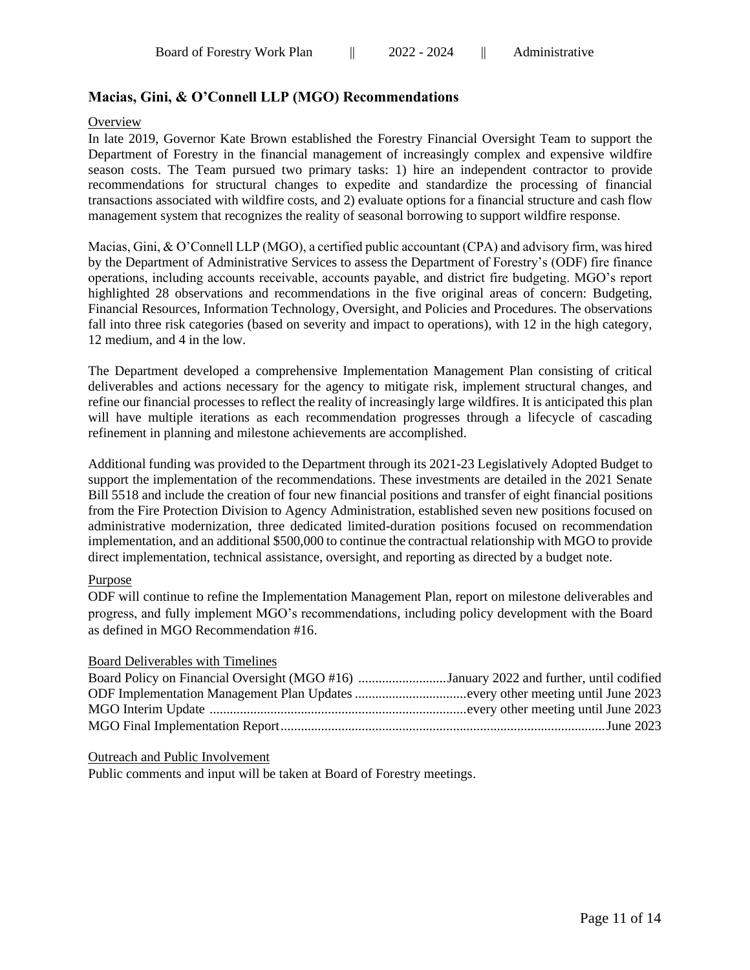# **Macias, Gini, & O'Connell LLP (MGO) Recommendations**

#### **Overview**

In late 2019, Governor Kate Brown established the Forestry Financial Oversight Team to support the Department of Forestry in the financial management of increasingly complex and expensive wildfire season costs. The Team pursued two primary tasks: 1) hire an independent contractor to provide recommendations for structural changes to expedite and standardize the processing of financial transactions associated with wildfire costs, and 2) evaluate options for a financial structure and cash flow management system that recognizes the reality of seasonal borrowing to support wildfire response.

Macias, Gini, & O'Connell LLP (MGO), a certified public accountant (CPA) and advisory firm, was hired by the Department of Administrative Services to assess the Department of Forestry's (ODF) fire finance operations, including accounts receivable, accounts payable, and district fire budgeting. MGO's report highlighted 28 observations and recommendations in the five original areas of concern: Budgeting, Financial Resources, Information Technology, Oversight, and Policies and Procedures. The observations fall into three risk categories (based on severity and impact to operations), with 12 in the high category, 12 medium, and 4 in the low.

The Department developed a comprehensive Implementation Management Plan consisting of critical deliverables and actions necessary for the agency to mitigate risk, implement structural changes, and refine our financial processes to reflect the reality of increasingly large wildfires. It is anticipated this plan will have multiple iterations as each recommendation progresses through a lifecycle of cascading refinement in planning and milestone achievements are accomplished.

Additional funding was provided to the Department through its 2021-23 Legislatively Adopted Budget to support the implementation of the recommendations. These investments are detailed in the 2021 Senate Bill 5518 and include the creation of four new financial positions and transfer of eight financial positions from the Fire Protection Division to Agency Administration, established seven new positions focused on administrative modernization, three dedicated limited-duration positions focused on recommendation implementation, and an additional \$500,000 to continue the contractual relationship with MGO to provide direct implementation, technical assistance, oversight, and reporting as directed by a budget note.

#### Purpose

ODF will continue to refine the Implementation Management Plan, report on milestone deliverables and progress, and fully implement MGO's recommendations, including policy development with the Board as defined in MGO Recommendation #16.

#### Board Deliverables with Timelines

| Board Policy on Financial Oversight (MGO #16) January 2022 and further, until codified |  |
|----------------------------------------------------------------------------------------|--|
|                                                                                        |  |
|                                                                                        |  |
|                                                                                        |  |

#### Outreach and Public Involvement

Public comments and input will be taken at Board of Forestry meetings.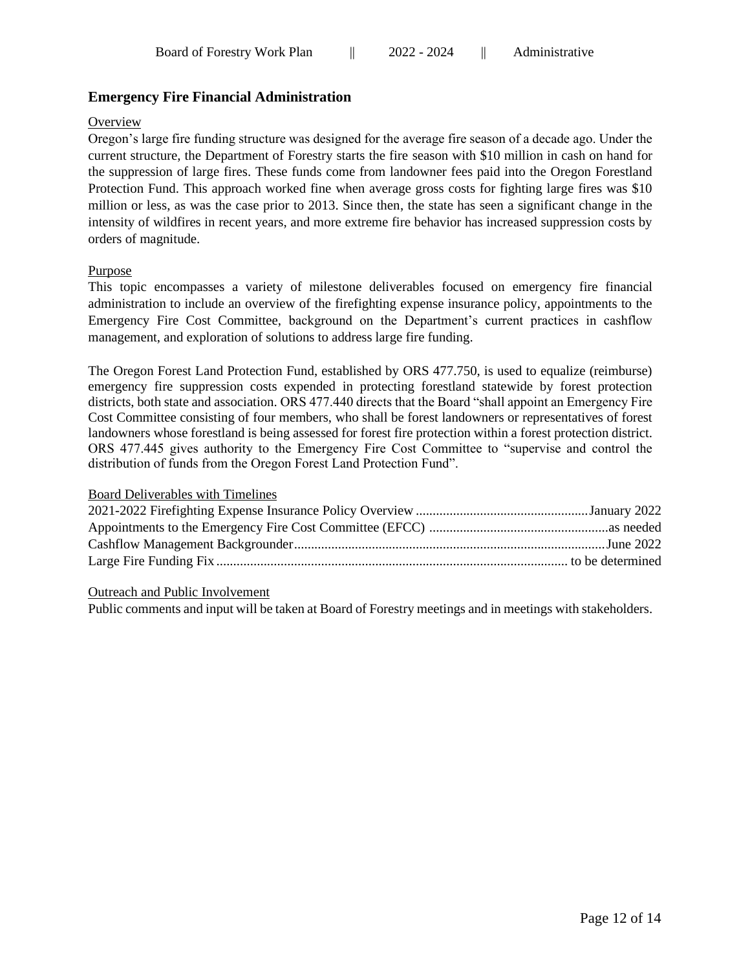# **Emergency Fire Financial Administration**

## **Overview**

Oregon's large fire funding structure was designed for the average fire season of a decade ago. Under the current structure, the Department of Forestry starts the fire season with \$10 million in cash on hand for the suppression of large fires. These funds come from landowner fees paid into the Oregon Forestland Protection Fund. This approach worked fine when average gross costs for fighting large fires was \$10 million or less, as was the case prior to 2013. Since then, the state has seen a significant change in the intensity of wildfires in recent years, and more extreme fire behavior has increased suppression costs by orders of magnitude.

## Purpose

This topic encompasses a variety of milestone deliverables focused on emergency fire financial administration to include an overview of the firefighting expense insurance policy, appointments to the Emergency Fire Cost Committee, background on the Department's current practices in cashflow management, and exploration of solutions to address large fire funding.

The Oregon Forest Land Protection Fund, established by ORS 477.750, is used to equalize (reimburse) emergency fire suppression costs expended in protecting forestland statewide by forest protection districts, both state and association. ORS 477.440 directs that the Board "shall appoint an Emergency Fire Cost Committee consisting of four members, who shall be forest landowners or representatives of forest landowners whose forestland is being assessed for forest fire protection within a forest protection district. ORS 477.445 gives authority to the Emergency Fire Cost Committee to "supervise and control the distribution of funds from the Oregon Forest Land Protection Fund".

## Board Deliverables with Timelines

## Outreach and Public Involvement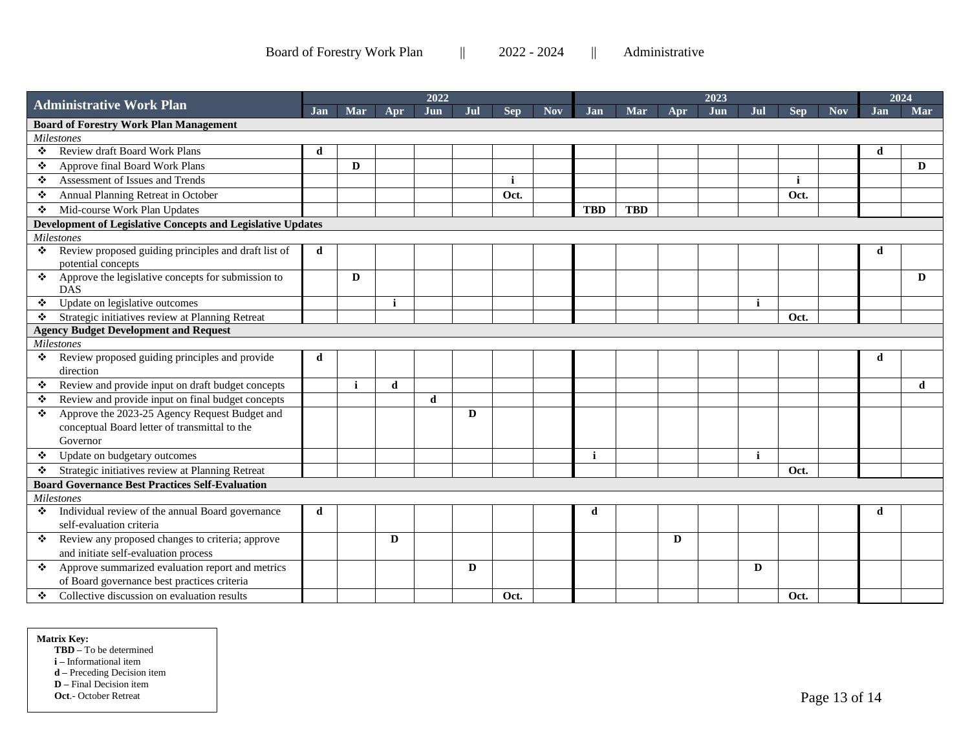Board of Forestry Work Plan  $||$  2022 - 2024  $||$  Administrative

|                                               |                                                                                                            | 2022 |            |              |             |     |            |            | 2023         |            |     |     |             |            |            | 2024       |              |
|-----------------------------------------------|------------------------------------------------------------------------------------------------------------|------|------------|--------------|-------------|-----|------------|------------|--------------|------------|-----|-----|-------------|------------|------------|------------|--------------|
|                                               | <b>Administrative Work Plan</b>                                                                            |      | <b>Mar</b> | Apr          | Jun         | Jul | <b>Sep</b> | <b>Nov</b> | <b>Jan</b>   | Mar        | Apr | Jun | Jul         | <b>Sep</b> | <b>Nov</b> | <b>Jan</b> | Mar          |
| <b>Board of Forestry Work Plan Management</b> |                                                                                                            |      |            |              |             |     |            |            |              |            |     |     |             |            |            |            |              |
| <b>Milestones</b>                             |                                                                                                            |      |            |              |             |     |            |            |              |            |     |     |             |            |            |            |              |
| ÷                                             | Review draft Board Work Plans                                                                              | d    |            |              |             |     |            |            |              |            |     |     |             |            |            | d          |              |
| ❖                                             | Approve final Board Work Plans                                                                             |      | D          |              |             |     |            |            |              |            |     |     |             |            |            |            | $\mathbf{D}$ |
| $\langle \cdot \rangle$                       | Assessment of Issues and Trends                                                                            |      |            |              |             |     | j          |            |              |            |     |     |             | j          |            |            |              |
| ÷                                             | Annual Planning Retreat in October                                                                         |      |            |              |             |     | Oct.       |            |              |            |     |     |             | Oct.       |            |            |              |
| ❖                                             | Mid-course Work Plan Updates                                                                               |      |            |              |             |     |            |            | <b>TBD</b>   | <b>TBD</b> |     |     |             |            |            |            |              |
|                                               | Development of Legislative Concepts and Legislative Updates                                                |      |            |              |             |     |            |            |              |            |     |     |             |            |            |            |              |
|                                               | <b>Milestones</b>                                                                                          |      |            |              |             |     |            |            |              |            |     |     |             |            |            |            |              |
| ❖                                             | Review proposed guiding principles and draft list of<br>potential concepts                                 | d    |            |              |             |     |            |            |              |            |     |     |             |            |            | d          |              |
| ❖                                             | Approve the legislative concepts for submission to<br><b>DAS</b>                                           |      | D          |              |             |     |            |            |              |            |     |     |             |            |            |            | D            |
| $\mathcal{L}_{\mathcal{P}}$                   | Update on legislative outcomes                                                                             |      |            | $\mathbf{i}$ |             |     |            |            |              |            |     |     | j           |            |            |            |              |
| ❖                                             | Strategic initiatives review at Planning Retreat                                                           |      |            |              |             |     |            |            |              |            |     |     |             | Oct.       |            |            |              |
|                                               | <b>Agency Budget Development and Request</b>                                                               |      |            |              |             |     |            |            |              |            |     |     |             |            |            |            |              |
|                                               | <b>Milestones</b>                                                                                          |      |            |              |             |     |            |            |              |            |     |     |             |            |            |            |              |
| ❖                                             | Review proposed guiding principles and provide<br>direction                                                | d    |            |              |             |     |            |            |              |            |     |     |             |            |            | d          |              |
| ❖                                             | Review and provide input on draft budget concepts                                                          |      |            | d            |             |     |            |            |              |            |     |     |             |            |            |            | d            |
| ❖                                             | Review and provide input on final budget concepts                                                          |      |            |              | $\mathbf d$ |     |            |            |              |            |     |     |             |            |            |            |              |
| ❖                                             | Approve the 2023-25 Agency Request Budget and<br>conceptual Board letter of transmittal to the<br>Governor |      |            |              |             | D   |            |            |              |            |     |     |             |            |            |            |              |
| $\mathcal{L}_{\mathcal{C}}$                   | Update on budgetary outcomes                                                                               |      |            |              |             |     |            |            | $\mathbf{i}$ |            |     |     | $\mathbf i$ |            |            |            |              |
| ❖                                             | Strategic initiatives review at Planning Retreat                                                           |      |            |              |             |     |            |            |              |            |     |     |             | Oct.       |            |            |              |
|                                               | <b>Board Governance Best Practices Self-Evaluation</b>                                                     |      |            |              |             |     |            |            |              |            |     |     |             |            |            |            |              |
|                                               | <b>Milestones</b>                                                                                          |      |            |              |             |     |            |            |              |            |     |     |             |            |            |            |              |
| ❖                                             | Individual review of the annual Board governance<br>self-evaluation criteria                               | d    |            |              |             |     |            |            | d            |            |     |     |             |            |            | d          |              |
| $\mathbf{r}_{\mathbf{r}^*}$                   | Review any proposed changes to criteria; approve<br>and initiate self-evaluation process                   |      |            | D            |             |     |            |            |              |            | D   |     |             |            |            |            |              |
| $\mathbf{r}^{\star}_{\mathbf{r}^{\star}}$     | Approve summarized evaluation report and metrics<br>of Board governance best practices criteria            |      |            |              |             | D   |            |            |              |            |     |     | D           |            |            |            |              |
| ❖                                             | Collective discussion on evaluation results                                                                |      |            |              |             |     | Oct.       |            |              |            |     |     |             | Oct.       |            |            |              |

#### **Matrix Key:**

**TBD –** To be determined

**i –** Informational item

**d –** Preceding Decision item

**D –** Final Decision item

**Oct**.- October Retreat